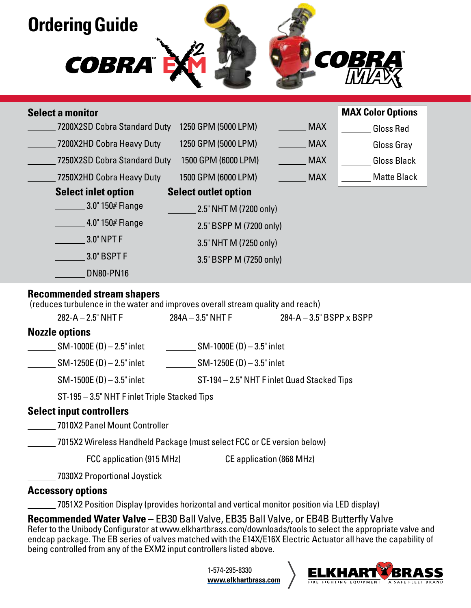

| <b>Select a monitor</b>                                                                                              |                                                                         | <b>MAX Color Options</b>       |  |
|----------------------------------------------------------------------------------------------------------------------|-------------------------------------------------------------------------|--------------------------------|--|
| 7200X2SD Cobra Standard Duty 1250 GPM (5000 LPM)                                                                     |                                                                         | <b>MAX</b><br><b>Gloss Red</b> |  |
| 7200X2HD Cobra Heavy Duty                                                                                            | 1250 GPM (5000 LPM)                                                     | <b>MAX</b><br>Gloss Gray       |  |
| 7250X2SD Cobra Standard Duty 1500 GPM (6000 LPM)                                                                     |                                                                         | <b>MAX</b><br>Gloss Black      |  |
| 7250X2HD Cobra Heavy Duty                                                                                            | 1500 GPM (6000 LPM)<br><b>MAX</b>                                       | Matte Black                    |  |
| <b>Select inlet option</b>                                                                                           | <b>Select outlet option</b>                                             |                                |  |
| 3.0" 150# Flange                                                                                                     | $2.5"$ NHT M (7200 only)                                                |                                |  |
| 4.0" 150# Flange                                                                                                     | 2.5" BSPP M (7200 only)                                                 |                                |  |
| 3.0" NPT F                                                                                                           | $\sim$ 3.5" NHT M (7250 only)                                           |                                |  |
| $-3.0"$ BSPT F                                                                                                       | $\frac{1}{2}$ 3.5" BSPP M (7250 only)                                   |                                |  |
| <b>DN80-PN16</b>                                                                                                     |                                                                         |                                |  |
| <b>Recommended stream shapers</b><br>(reduces turbulence in the water and improves overall stream quality and reach) |                                                                         |                                |  |
| <b>Nozzle options</b>                                                                                                | $282-A-2.5$ " NHT F $284A-3.5$ " NHT F $284-A-3.5$ " BSPP x BSPP        |                                |  |
| ______ SM-1000E (D) – 2.5" inlet ____________ SM-1000E (D) – 3.5" inlet                                              |                                                                         |                                |  |
| $\frac{1}{2}$ SM-1250E (D) – 2.5" inlet SM-1250E (D) – 3.5" inlet                                                    |                                                                         |                                |  |
| $\_$ SM-1500E (D) $-$ 3.5" inlet                                                                                     | ST-194 - 2.5" NHT F inlet Quad Stacked Tips                             |                                |  |
| ST-195 - 3.5" NHT F inlet Triple Stacked Tips                                                                        |                                                                         |                                |  |
| <b>Select input controllers</b>                                                                                      |                                                                         |                                |  |
| 7010X2 Panel Mount Controller                                                                                        |                                                                         |                                |  |
| ______ 7015X2 Wireless Handheld Package (must select FCC or CE version below)                                        |                                                                         |                                |  |
|                                                                                                                      | [868 MHz] FCC application (915 MHz) __________ CE application (868 MHz) |                                |  |
| 7030X2 Proportional Joystick                                                                                         |                                                                         |                                |  |

### **Accessory options**

7051X2 Position Display (provides horizontal and vertical monitor position via LED display)

**Recommended Water Valve - EB30 Ball Valve, EB35 Ball Valve, or EB4B Butterfly Valve** Refer to the Unibody Configurator at www.elkhartbrass.com/downloads/tools to select the appropriate valve and endcap package. The EB series of valves matched with the E14X/E16X Electric Actuator all have the capability of being controlled from any of the EXM2 input controllers listed above.

> 1-574-295-8330 **www.elkhartbrass.com**

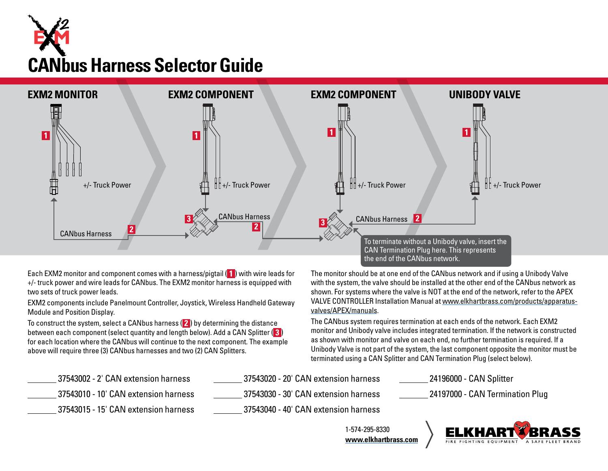# **CANbus Harness Selector Guide**



Each EXM2 monitor and component comes with a harness/pigtail ( **1** ) with wire leads for +/- truck power and wire leads for CANbus. The EXM2 monitor harness is equipped with two sets of truck power leads.

EXM2 components include Panelmount Controller, Joystick, Wireless Handheld Gateway Module and Position Display.

To construct the system, select a CANbus harness ( **2** ) by determining the distance between each component (select quantity and length below). Add a CAN Splitter ( **3** ) for each location where the CANbus will continue to the next component. The example above will require three (3) CANbus harnesses and two (2) CAN Splitters.

The monitor should be at one end of the CANbus network and if using a Unibody Valve with the system, the valve should be installed at the other end of the CANbus network as shown. For systems where the valve is NOT at the end of the network, refer to the APEX VALVE CONTROLLER Installation Manual at www.elkhartbrass.com/products/apparatusvalves/APEX/manuals.

The CANbus system requires termination at each ends of the network. Each EXM2 monitor and Unibody valve includes integrated termination. If the network is constructed as shown with monitor and valve on each end, no further termination is required. If a Unibody Valve is not part of the system, the last component opposite the monitor must be terminated using a CAN Splitter and CAN Termination Plug (select below).

| 37543002 - 2' CAN extension harness  | 37543020 - 20' CAN extension harness | 24196000 - CAN Splitter           |
|--------------------------------------|--------------------------------------|-----------------------------------|
| 37543010 - 10' CAN extension harness | 37543030 - 30' CAN extension harness | . 24197000 - CAN Termination Plug |
| 37543015 - 15' CAN extension harness | 37543040 - 40' CAN extension harness |                                   |

1-574-295-8330 **www.elkhartbrass.com**